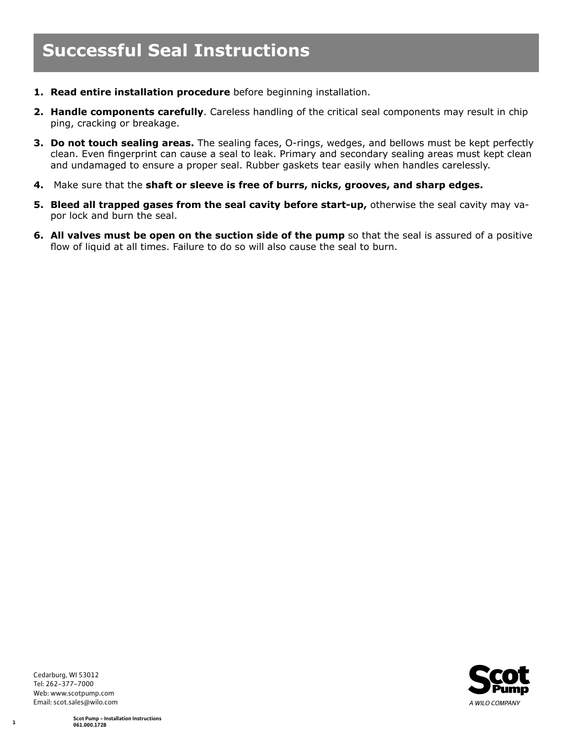- **1. Read entire installation procedure** before beginning installation.
- **2. Handle components carefully**. Careless handling of the critical seal components may result in chip ping, cracking or breakage.
- **3. Do not touch sealing areas.** The sealing faces, O-rings, wedges, and bellows must be kept perfectly clean. Even fingerprint can cause a seal to leak. Primary and secondary sealing areas must kept clean and undamaged to ensure a proper seal. Rubber gaskets tear easily when handles carelessly.
- **4.** Make sure that the **shaft or sleeve is free of burrs, nicks, grooves, and sharp edges.**
- **5. Bleed all trapped gases from the seal cavity before start-up,** otherwise the seal cavity may vapor lock and burn the seal.
- **6. All valves must be open on the suction side of the pump so that the seal is assured of a positive** flow of liquid at all times. Failure to do so will also cause the seal to burn.



Cedarburg, WI 53012 Tel: 262-377-7000 Web: www.scotpump.com Email: scot.sales@wilo.com